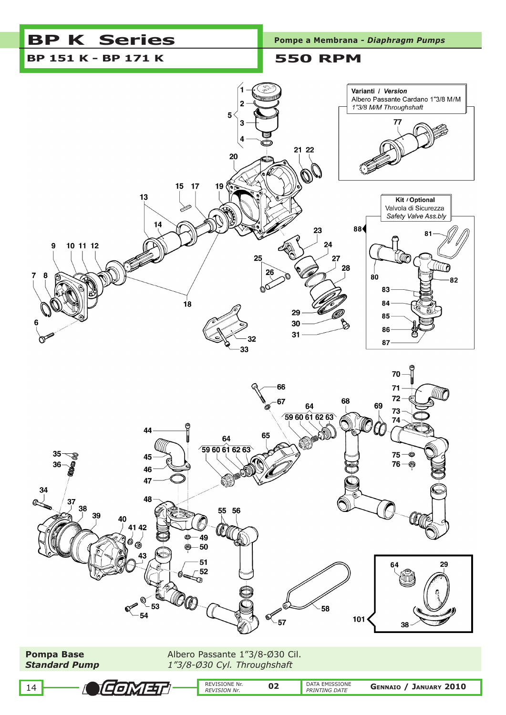# **BP K Series** Pompe a Membrana *- Diaphragm Pumps*

# **BP 151 K - BP 171 K 550 RPM**





Д

COMET

**Pompa Base Albero Passante 1"3/8-Ø30 Cil.** *Standard Pump 1"3/8-Ø30 Cyl. Throughshaft*

REVISIONE Nr.<br>REVISION Nr.